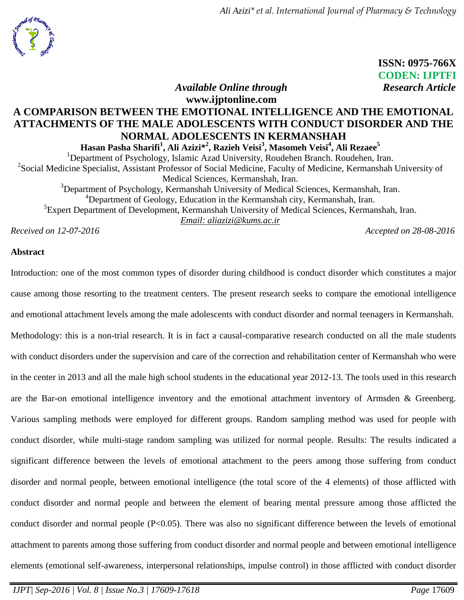*Ali Azizi\* et al. International Journal of Pharmacy & Technology*



 **ISSN: 0975-766X** **CODEN: IJPTFI**

*Available Online through* Research Article

# **www.ijptonline.com A COMPARISON BETWEEN THE EMOTIONAL INTELLIGENCE AND THE EMOTIONAL ATTACHMENTS OF THE MALE ADOLESCENTS WITH CONDUCT DISORDER AND THE NORMAL ADOLESCENTS IN KERMANSHAH**

**Hasan Pasha Sharifi<sup>1</sup> , Ali Azizi\*<sup>2</sup> , Razieh Veisi<sup>3</sup> , Masomeh Veisi<sup>4</sup> , Ali Rezaee<sup>5</sup>** <sup>1</sup>Department of Psychology, Islamic Azad University, Roudehen Branch. Roudehen, Iran. <sup>2</sup>Social Medicine Specialist, Assistant Professor of Social Medicine, Faculty of Medicine, Kermanshah University of Medical Sciences, Kermanshah, Iran. <sup>3</sup>Department of Psychology, Kermanshah University of Medical Sciences, Kermanshah, Iran. <sup>4</sup>Department of Geology, Education in the Kermanshah city, Kermanshah, Iran. <sup>5</sup> Expert Department of Development, Kermanshah University of Medical Sciences, Kermanshah, Iran. *Email: [aliazizi@kums.ac.ir](mailto:aliazizi@kums.ac.ir)*

*Received on 12-07-2016 Accepted on 28-08-2016*

# **Abstract**

Introduction: one of the most common types of disorder during childhood is conduct disorder which constitutes a major cause among those resorting to the treatment centers. The present research seeks to compare the emotional intelligence and emotional attachment levels among the male adolescents with conduct disorder and normal teenagers in Kermanshah. Methodology: this is a non-trial research. It is in fact a causal-comparative research conducted on all the male students with conduct disorders under the supervision and care of the correction and rehabilitation center of Kermanshah who were in the center in 2013 and all the male high school students in the educational year 2012-13. The tools used in this research are the Bar-on emotional intelligence inventory and the emotional attachment inventory of Armsden & Greenberg. Various sampling methods were employed for different groups. Random sampling method was used for people with conduct disorder, while multi-stage random sampling was utilized for normal people. Results: The results indicated a significant difference between the levels of emotional attachment to the peers among those suffering from conduct disorder and normal people, between emotional intelligence (the total score of the 4 elements) of those afflicted with conduct disorder and normal people and between the element of bearing mental pressure among those afflicted the conduct disorder and normal people (P<0.05). There was also no significant difference between the levels of emotional attachment to parents among those suffering from conduct disorder and normal people and between emotional intelligence elements (emotional self-awareness, interpersonal relationships, impulse control) in those afflicted with conduct disorder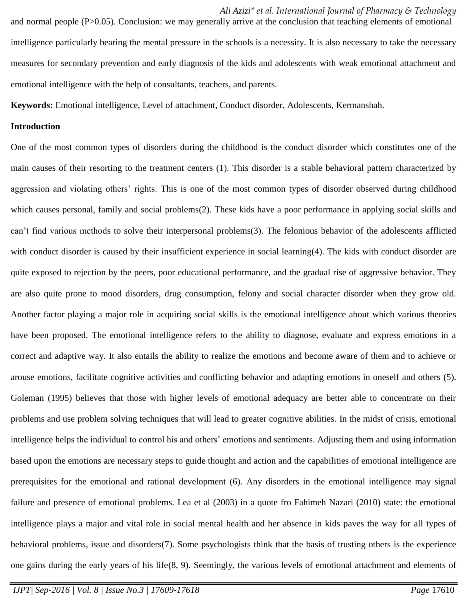*Ali Azizi\* et al. International Journal of Pharmacy & Technology* and normal people (P>0.05). Conclusion: we may generally arrive at the conclusion that teaching elements of emotional intelligence particularly bearing the mental pressure in the schools is a necessity. It is also necessary to take the necessary measures for secondary prevention and early diagnosis of the kids and adolescents with weak emotional attachment and emotional intelligence with the help of consultants, teachers, and parents.

**Keywords:** Emotional intelligence, Level of attachment, Conduct disorder, Adolescents, Kermanshah.

#### **Introduction**

One of the most common types of disorders during the childhood is the conduct disorder which constitutes one of the main causes of their resorting to the treatment centers [\(1\)](#page-8-0). This disorder is a stable behavioral pattern characterized by aggression and violating others' rights. This is one of the most common types of disorder observed during childhood which causes personal, family and social problems[\(2\)](#page-8-1). These kids have a poor performance in applying social skills and can't find various methods to solve their interpersonal problems[\(3\)](#page-8-2). The felonious behavior of the adolescents afflicted with conduct disorder is caused by their insufficient experience in social learning[\(4\)](#page-8-3). The kids with conduct disorder are quite exposed to rejection by the peers, poor educational performance, and the gradual rise of aggressive behavior. They are also quite prone to mood disorders, drug consumption, felony and social character disorder when they grow old. Another factor playing a major role in acquiring social skills is the emotional intelligence about which various theories have been proposed. The emotional intelligence refers to the ability to diagnose, evaluate and express emotions in a correct and adaptive way. It also entails the ability to realize the emotions and become aware of them and to achieve or arouse emotions, facilitate cognitive activities and conflicting behavior and adapting emotions in oneself and others [\(5\)](#page-8-4). Goleman (1995) believes that those with higher levels of emotional adequacy are better able to concentrate on their problems and use problem solving techniques that will lead to greater cognitive abilities. In the midst of crisis, emotional intelligence helps the individual to control his and others' emotions and sentiments. Adjusting them and using information based upon the emotions are necessary steps to guide thought and action and the capabilities of emotional intelligence are prerequisites for the emotional and rational development [\(6\)](#page-8-5). Any disorders in the emotional intelligence may signal failure and presence of emotional problems. Lea et al (2003) in a quote fro Fahimeh Nazari (2010) state: the emotional intelligence plays a major and vital role in social mental health and her absence in kids paves the way for all types of behavioral problems, issue and disorders[\(7\)](#page-9-0). Some psychologists think that the basis of trusting others is the experience one gains during the early years of his life[\(8,](#page-9-1) [9\)](#page-9-2). Seemingly, the various levels of emotional attachment and elements of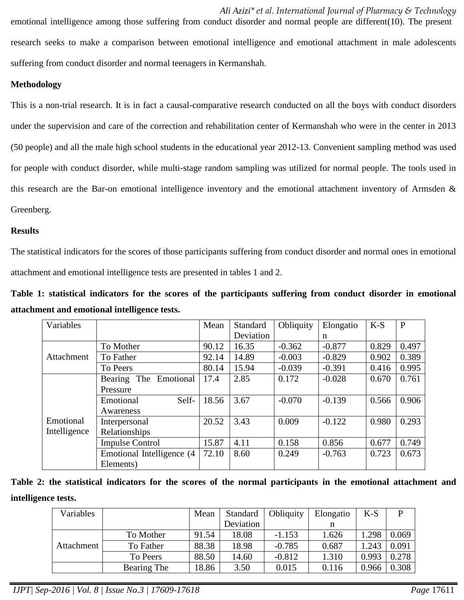*Ali Azizi\* et al. International Journal of Pharmacy & Technology* emotional intelligence among those suffering from conduct disorder and normal people are different[\(10\)](#page-9-3). The present research seeks to make a comparison between emotional intelligence and emotional attachment in male adolescents suffering from conduct disorder and normal teenagers in Kermanshah.

# **Methodology**

This is a non-trial research. It is in fact a causal-comparative research conducted on all the boys with conduct disorders under the supervision and care of the correction and rehabilitation center of Kermanshah who were in the center in 2013 (50 people) and all the male high school students in the educational year 2012-13. Convenient sampling method was used for people with conduct disorder, while multi-stage random sampling was utilized for normal people. The tools used in this research are the Bar-on emotional intelligence inventory and the emotional attachment inventory of Armsden & Greenberg.

# **Results**

The statistical indicators for the scores of those participants suffering from conduct disorder and normal ones in emotional attachment and emotional intelligence tests are presented in tables 1 and 2.

**Table 1: statistical indicators for the scores of the participants suffering from conduct disorder in emotional attachment and emotional intelligence tests.**

| Variables    |                             | Mean  | Standard  | Obliquity | Elongatio | $K-S$ | $\mathbf{P}$ |
|--------------|-----------------------------|-------|-----------|-----------|-----------|-------|--------------|
|              |                             |       | Deviation |           | n         |       |              |
|              | To Mother                   | 90.12 | 16.35     | $-0.362$  | $-0.877$  | 0.829 | 0.497        |
| Attachment   | To Father                   | 92.14 | 14.89     | $-0.003$  | $-0.829$  | 0.902 | 0.389        |
|              | To Peers                    | 80.14 | 15.94     | $-0.039$  | $-0.391$  | 0.416 | 0.995        |
|              | Emotional<br>The<br>Bearing | 17.4  | 2.85      | 0.172     | $-0.028$  | 0.670 | 0.761        |
|              | Pressure                    |       |           |           |           |       |              |
|              | Self-<br>Emotional          | 18.56 | 3.67      | $-0.070$  | $-0.139$  | 0.566 | 0.906        |
|              | Awareness                   |       |           |           |           |       |              |
| Emotional    | Interpersonal               | 20.52 | 3.43      | 0.009     | $-0.122$  | 0.980 | 0.293        |
| Intelligence | Relationships               |       |           |           |           |       |              |
|              | <b>Impulse Control</b>      | 15.87 | 4.11      | 0.158     | 0.856     | 0.677 | 0.749        |
|              | Emotional Intelligence (4   | 72.10 | 8.60      | 0.249     | $-0.763$  | 0.723 | 0.673        |
|              | Elements)                   |       |           |           |           |       |              |

|                     |  |  |  |  | Table 2: the statistical indicators for the scores of the normal participants in the emotional attachment and |  |  |  |
|---------------------|--|--|--|--|---------------------------------------------------------------------------------------------------------------|--|--|--|
| intelligence tests. |  |  |  |  |                                                                                                               |  |  |  |

| Variables  |             | Mean  | Standard  | Obliquity | Elongatio | $K-S$ |       |
|------------|-------------|-------|-----------|-----------|-----------|-------|-------|
|            |             |       | Deviation |           |           |       |       |
|            | To Mother   | 91.54 | 18.08     | $-1.153$  | 1.626     | 1.298 | 0.069 |
| Attachment | To Father   | 88.38 | 18.98     | $-0.785$  | 0.687     | .243  | 0.091 |
|            | To Peers    | 88.50 | 14.60     | $-0.812$  | 1.310     | 0.993 | 0.278 |
|            | Bearing The | 18.86 | 3.50      | 0.015     | 0.116     | 0.966 | 0.308 |

*IJPT| Sep-2016 | Vol. 8 | Issue No.3 | 17609-17618 Page* 17611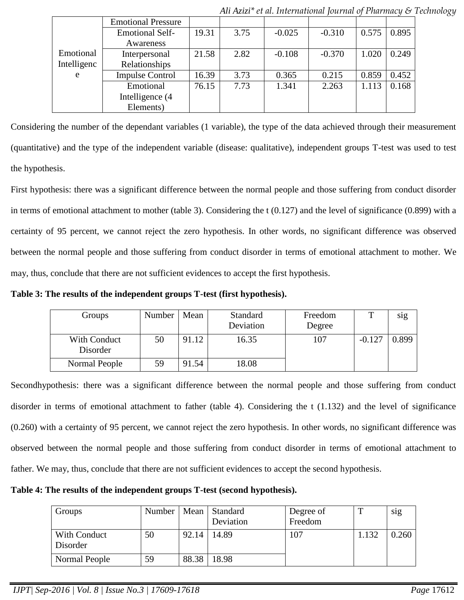|             | <b>Emotional Pressure</b> |       |      |          |          |       |       |
|-------------|---------------------------|-------|------|----------|----------|-------|-------|
|             | <b>Emotional Self-</b>    | 19.31 | 3.75 | $-0.025$ | $-0.310$ | 0.575 | 0.895 |
|             | Awareness                 |       |      |          |          |       |       |
| Emotional   | Interpersonal             | 21.58 | 2.82 | $-0.108$ | $-0.370$ | 1.020 | 0.249 |
| Intelligenc | Relationships             |       |      |          |          |       |       |
| e           | <b>Impulse Control</b>    | 16.39 | 3.73 | 0.365    | 0.215    | 0.859 | 0.452 |
|             | Emotional                 | 76.15 | 7.73 | 1.341    | 2.263    | 1.113 | 0.168 |
|             | Intelligence (4           |       |      |          |          |       |       |
|             | Elements)                 |       |      |          |          |       |       |

*Ali Azizi\* et al. International Journal of Pharmacy & Technology*

Considering the number of the dependant variables (1 variable), the type of the data achieved through their measurement (quantitative) and the type of the independent variable (disease: qualitative), independent groups T-test was used to test the hypothesis.

First hypothesis: there was a significant difference between the normal people and those suffering from conduct disorder in terms of emotional attachment to mother (table 3). Considering the t (0.127) and the level of significance (0.899) with a certainty of 95 percent, we cannot reject the zero hypothesis. In other words, no significant difference was observed between the normal people and those suffering from conduct disorder in terms of emotional attachment to mother. We may, thus, conclude that there are not sufficient evidences to accept the first hypothesis.

**Table 3: The results of the independent groups T-test (first hypothesis).**

| Groups                   | Number | Mean  | Standard<br>Deviation | Freedom<br>Degree | т        | sig   |
|--------------------------|--------|-------|-----------------------|-------------------|----------|-------|
| With Conduct<br>Disorder | 50     | 91.12 | 16.35                 | 107               | $-0.127$ | 0.899 |
| Normal People            | 59     | 91.54 | 18.08                 |                   |          |       |

Secondhypothesis: there was a significant difference between the normal people and those suffering from conduct disorder in terms of emotional attachment to father (table 4). Considering the t (1.132) and the level of significance (0.260) with a certainty of 95 percent, we cannot reject the zero hypothesis. In other words, no significant difference was observed between the normal people and those suffering from conduct disorder in terms of emotional attachment to father. We may, thus, conclude that there are not sufficient evidences to accept the second hypothesis.

**Table 4: The results of the independent groups T-test (second hypothesis).**

| Groups                   | Number | Mean  | Standard<br>Deviation | Degree of<br>Freedom | m     | sig   |
|--------------------------|--------|-------|-----------------------|----------------------|-------|-------|
| With Conduct<br>Disorder | 50     | 92.14 | 14.89                 | 107                  | 1.132 | 0.260 |
| Normal People            | 59     | 88.38 | 18.98                 |                      |       |       |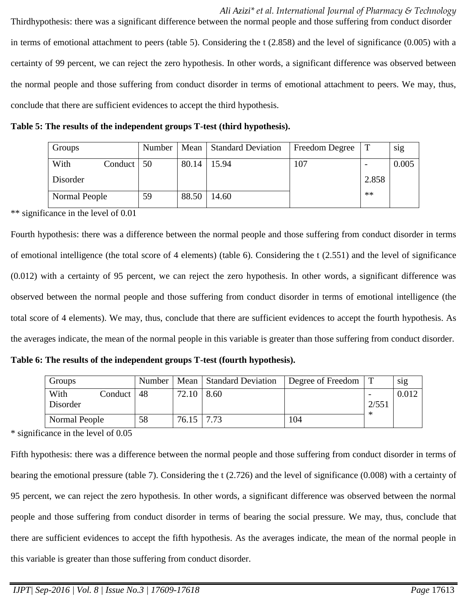*Ali Azizi\* et al. International Journal of Pharmacy & Technology* Thirdhypothesis: there was a significant difference between the normal people and those suffering from conduct disorder in terms of emotional attachment to peers (table 5). Considering the t (2.858) and the level of significance (0.005) with a certainty of 99 percent, we can reject the zero hypothesis. In other words, a significant difference was observed between the normal people and those suffering from conduct disorder in terms of emotional attachment to peers. We may, thus, conclude that there are sufficient evidences to accept the third hypothesis.

**Table 5: The results of the independent groups T-test (third hypothesis).**

| Groups        |         | Number |       | Mean Standard Deviation | Freedom Degree |       | sig   |
|---------------|---------|--------|-------|-------------------------|----------------|-------|-------|
| With          | Conduct | 50     | 80.14 | 15.94                   | 107            |       | 0.005 |
| Disorder      |         |        |       |                         |                | 2.858 |       |
| Normal People |         | 59     | 88.50 | 14.60                   |                | $**$  |       |

\*\* significance in the level of 0.01

Fourth hypothesis: there was a difference between the normal people and those suffering from conduct disorder in terms of emotional intelligence (the total score of 4 elements) (table 6). Considering the t (2.551) and the level of significance (0.012) with a certainty of 95 percent, we can reject the zero hypothesis. In other words, a significant difference was observed between the normal people and those suffering from conduct disorder in terms of emotional intelligence (the total score of 4 elements). We may, thus, conclude that there are sufficient evidences to accept the fourth hypothesis. As the averages indicate, the mean of the normal people in this variable is greater than those suffering from conduct disorder.

**Table 6: The results of the independent groups T-test (fourth hypothesis).**

| Groups           |         | Number |                   | Mean Standard Deviation | Degree of Freedom |       | sig   |
|------------------|---------|--------|-------------------|-------------------------|-------------------|-------|-------|
| With<br>Disorder | Conduct | -48    | $72.10 \mid 8.60$ |                         |                   | 2/551 | 0.012 |
| Normal People    |         | 58     | $76.15$   $7.73$  |                         | 104               |       |       |

\* significance in the level of 0.05

Fifth hypothesis: there was a difference between the normal people and those suffering from conduct disorder in terms of bearing the emotional pressure (table 7). Considering the t (2.726) and the level of significance (0.008) with a certainty of 95 percent, we can reject the zero hypothesis. In other words, a significant difference was observed between the normal people and those suffering from conduct disorder in terms of bearing the social pressure. We may, thus, conclude that there are sufficient evidences to accept the fifth hypothesis. As the averages indicate, the mean of the normal people in this variable is greater than those suffering from conduct disorder.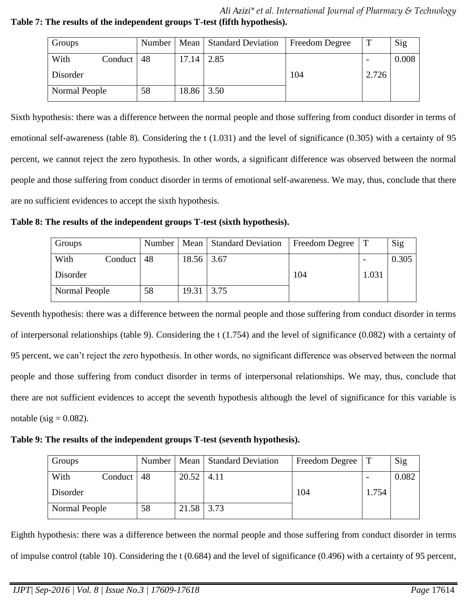*Ali Azizi\* et al. International Journal of Pharmacy & Technology* **Table 7: The results of the independent groups T-test (fifth hypothesis).**

| Groups        |         | Number |                   | Mean Standard Deviation | Freedom Degree |                          | Sig   |
|---------------|---------|--------|-------------------|-------------------------|----------------|--------------------------|-------|
| With          | Conduct | 48     | 17.14             | 2.85                    |                | $\overline{\phantom{a}}$ | 0.008 |
| Disorder      |         |        |                   |                         | 104            | 2.726                    |       |
| Normal People |         | 58     | $18.86 \mid 3.50$ |                         |                |                          |       |

Sixth hypothesis: there was a difference between the normal people and those suffering from conduct disorder in terms of emotional self-awareness (table 8). Considering the t (1.031) and the level of significance (0.305) with a certainty of 95 percent, we cannot reject the zero hypothesis. In other words, a significant difference was observed between the normal people and those suffering from conduct disorder in terms of emotional self-awareness. We may, thus, conclude that there are no sufficient evidences to accept the sixth hypothesis.

**Table 8: The results of the independent groups T-test (sixth hypothesis).**

| Groups        |         | Number |       | Mean Standard Deviation | Freedom Degree |       | Sig   |
|---------------|---------|--------|-------|-------------------------|----------------|-------|-------|
| With          | Conduct | 48     | 18.56 | 3.67                    |                |       | 0.305 |
| Disorder      |         |        |       |                         | 104            | 1.031 |       |
| Normal People |         | 58     | 19.31 | 3.75                    |                |       |       |

Seventh hypothesis: there was a difference between the normal people and those suffering from conduct disorder in terms of interpersonal relationships (table 9). Considering the t (1.754) and the level of significance (0.082) with a certainty of 95 percent, we can't reject the zero hypothesis. In other words, no significant difference was observed between the normal people and those suffering from conduct disorder in terms of interpersonal relationships. We may, thus, conclude that there are not sufficient evidences to accept the seventh hypothesis although the level of significance for this variable is notable (sig  $= 0.082$ ).

**Table 9: The results of the independent groups T-test (seventh hypothesis).**

| Groups        |         | Number |       | Mean   Standard Deviation | Freedom Degree |       | Sig   |
|---------------|---------|--------|-------|---------------------------|----------------|-------|-------|
| With          | Conduct | 48     | 20.52 | 4.11                      |                |       | 0.082 |
| Disorder      |         |        |       |                           | 104            | 1.754 |       |
| Normal People |         | 58     | 21.58 | 3.73                      |                |       |       |

Eighth hypothesis: there was a difference between the normal people and those suffering from conduct disorder in terms of impulse control (table 10). Considering the t (0.684) and the level of significance (0.496) with a certainty of 95 percent,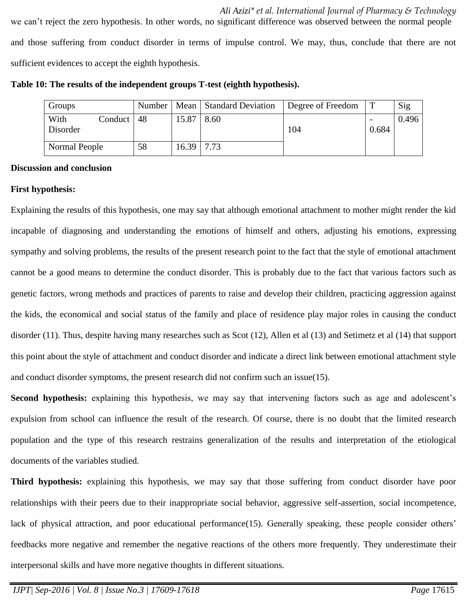| Groups           |         | Number |       | Mean Standard Deviation | Degree of Freedom |       | Sig   |
|------------------|---------|--------|-------|-------------------------|-------------------|-------|-------|
| With<br>Disorder | Conduct | 48     | 15.87 | 8.60                    | 104               | 0.684 | 0.496 |
| Normal People    |         | 58     | 16.39 | 7.73                    |                   |       |       |

**Table 10: The results of the independent groups T-test (eighth hypothesis).**

# **Discussion and conclusion**

#### **First hypothesis:**

Explaining the results of this hypothesis, one may say that although emotional attachment to mother might render the kid incapable of diagnosing and understanding the emotions of himself and others, adjusting his emotions, expressing sympathy and solving problems, the results of the present research point to the fact that the style of emotional attachment cannot be a good means to determine the conduct disorder. This is probably due to the fact that various factors such as genetic factors, wrong methods and practices of parents to raise and develop their children, practicing aggression against the kids, the economical and social status of the family and place of residence play major roles in causing the conduct disorder [\(11\)](#page-9-4). Thus, despite having many researches such as Scot [\(12\)](#page-9-5), Allen et al [\(13\)](#page-9-6) and Setimetz et al [\(14\)](#page-9-7) that support this point about the style of attachment and conduct disorder and indicate a direct link between emotional attachment style and conduct disorder symptoms, the present research did not confirm such an issue[\(15\)](#page-9-8).

**Second hypothesis:** explaining this hypothesis, we may say that intervening factors such as age and adolescent's expulsion from school can influence the result of the research. Of course, there is no doubt that the limited research population and the type of this research restrains generalization of the results and interpretation of the etiological documents of the variables studied.

**Third hypothesis:** explaining this hypothesis, we may say that those suffering from conduct disorder have poor relationships with their peers due to their inappropriate social behavior, aggressive self-assertion, social incompetence, lack of physical attraction, and poor educational performance[\(15\)](#page-9-8). Generally speaking, these people consider others' feedbacks more negative and remember the negative reactions of the others more frequently. They underestimate their interpersonal skills and have more negative thoughts in different situations.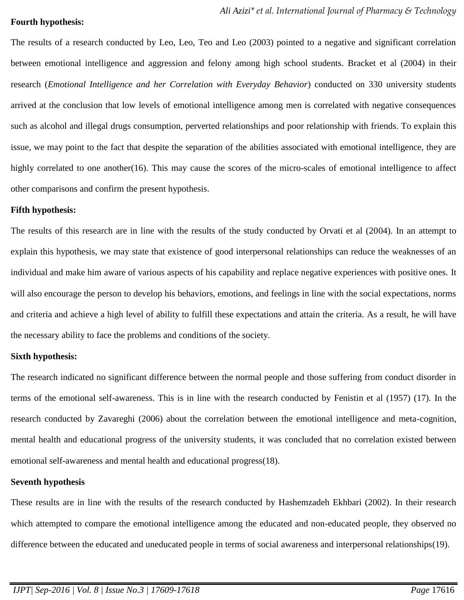#### **Fourth hypothesis:**

The results of a research conducted by Leo, Leo, Teo and Leo (2003) pointed to a negative and significant correlation between emotional intelligence and aggression and felony among high school students. Bracket et al (2004) in their research (*Emotional Intelligence and her Correlation with Everyday Behavior*) conducted on 330 university students arrived at the conclusion that low levels of emotional intelligence among men is correlated with negative consequences such as alcohol and illegal drugs consumption, perverted relationships and poor relationship with friends. To explain this issue, we may point to the fact that despite the separation of the abilities associated with emotional intelligence, they are highly correlated to one another[\(16\)](#page-9-9). This may cause the scores of the micro-scales of emotional intelligence to affect other comparisons and confirm the present hypothesis.

#### **Fifth hypothesis:**

The results of this research are in line with the results of the study conducted by Orvati et al (2004). In an attempt to explain this hypothesis, we may state that existence of good interpersonal relationships can reduce the weaknesses of an individual and make him aware of various aspects of his capability and replace negative experiences with positive ones. It will also encourage the person to develop his behaviors, emotions, and feelings in line with the social expectations, norms and criteria and achieve a high level of ability to fulfill these expectations and attain the criteria. As a result, he will have the necessary ability to face the problems and conditions of the society.

# **Sixth hypothesis:**

The research indicated no significant difference between the normal people and those suffering from conduct disorder in terms of the emotional self-awareness. This is in line with the research conducted by Fenistin et al (1957) [\(17\)](#page-9-10). In the research conducted by Zavareghi (2006) about the correlation between the emotional intelligence and meta-cognition, mental health and educational progress of the university students, it was concluded that no correlation existed between emotional self-awareness and mental health and educational progress(18).

# **Seventh hypothesis**

These results are in line with the results of the research conducted by Hashemzadeh Ekhbari (2002). In their research which attempted to compare the emotional intelligence among the educated and non-educated people, they observed no difference between the educated and uneducated people in terms of social awareness and interpersonal relationships(19).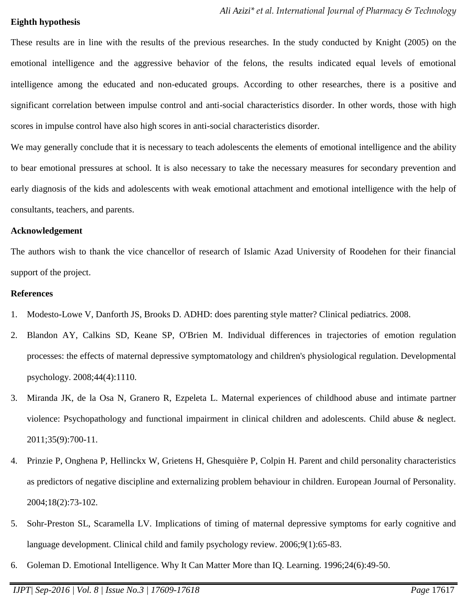# **Eighth hypothesis**

These results are in line with the results of the previous researches. In the study conducted by Knight (2005) on the emotional intelligence and the aggressive behavior of the felons, the results indicated equal levels of emotional intelligence among the educated and non-educated groups. According to other researches, there is a positive and significant correlation between impulse control and anti-social characteristics disorder. In other words, those with high scores in impulse control have also high scores in anti-social characteristics disorder.

We may generally conclude that it is necessary to teach adolescents the elements of emotional intelligence and the ability to bear emotional pressures at school. It is also necessary to take the necessary measures for secondary prevention and early diagnosis of the kids and adolescents with weak emotional attachment and emotional intelligence with the help of consultants, teachers, and parents.

#### **Acknowledgement**

The authors wish to thank the vice chancellor of research of Islamic Azad University of Roodehen for their financial support of the project.

# **References**

- <span id="page-8-0"></span>1. Modesto-Lowe V, Danforth JS, Brooks D. ADHD: does parenting style matter? Clinical pediatrics. 2008.
- <span id="page-8-1"></span>2. Blandon AY, Calkins SD, Keane SP, O'Brien M. Individual differences in trajectories of emotion regulation processes: the effects of maternal depressive symptomatology and children's physiological regulation. Developmental psychology. 2008;44(4):1110.
- <span id="page-8-2"></span>3. Miranda JK, de la Osa N, Granero R, Ezpeleta L. Maternal experiences of childhood abuse and intimate partner violence: Psychopathology and functional impairment in clinical children and adolescents. Child abuse & neglect. 2011;35(9):700-11.
- <span id="page-8-3"></span>4. Prinzie P, Onghena P, Hellinckx W, Grietens H, Ghesquière P, Colpin H. Parent and child personality characteristics as predictors of negative discipline and externalizing problem behaviour in children. European Journal of Personality. 2004;18(2):73-102.
- <span id="page-8-4"></span>5. Sohr-Preston SL, Scaramella LV. Implications of timing of maternal depressive symptoms for early cognitive and language development. Clinical child and family psychology review. 2006;9(1):65-83.
- <span id="page-8-5"></span>6. Goleman D. Emotional Intelligence. Why It Can Matter More than IQ. Learning. 1996;24(6):49-50.